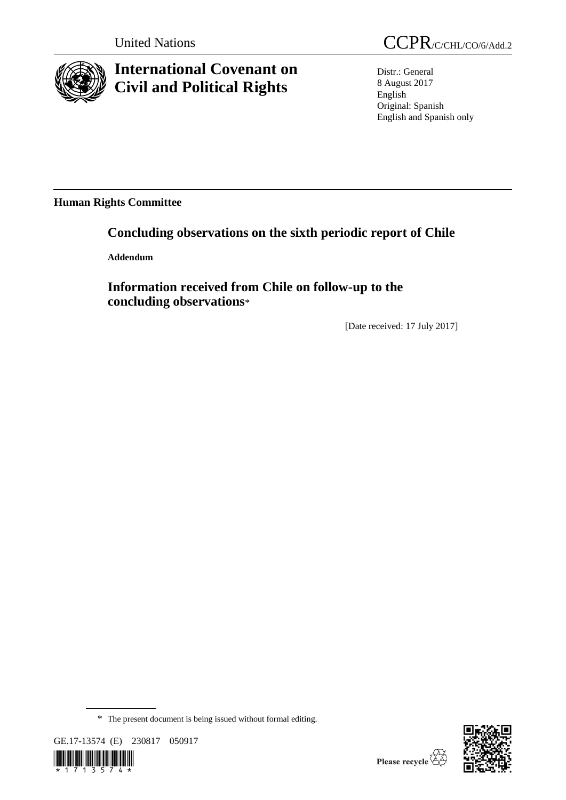

# **International Covenant on Civil and Political Rights**

United Nations CCPR/C/CHL/CO/6/Add.2

Distr.: General 8 August 2017 English Original: Spanish English and Spanish only

**Human Rights Committee**

# **Concluding observations on the sixth periodic report of Chile**

**Addendum**

**Information received from Chile on follow-up to the concluding observations**\*

[Date received: 17 July 2017]

<sup>\*</sup> The present document is being issued without formal editing.







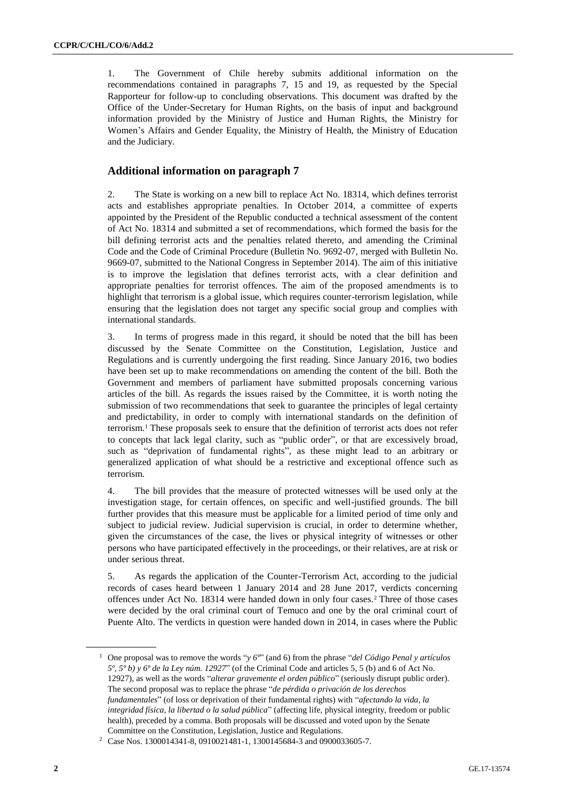1. The Government of Chile hereby submits additional information on the recommendations contained in paragraphs 7, 15 and 19, as requested by the Special Rapporteur for follow-up to concluding observations. This document was drafted by the Office of the Under-Secretary for Human Rights, on the basis of input and background information provided by the Ministry of Justice and Human Rights, the Ministry for Women's Affairs and Gender Equality, the Ministry of Health, the Ministry of Education and the Judiciary.

## **Additional information on paragraph 7**

2. The State is working on a new bill to replace Act No. 18314, which defines terrorist acts and establishes appropriate penalties. In October 2014, a committee of experts appointed by the President of the Republic conducted a technical assessment of the content of Act No. 18314 and submitted a set of recommendations, which formed the basis for the bill defining terrorist acts and the penalties related thereto, and amending the Criminal Code and the Code of Criminal Procedure (Bulletin No. 9692-07, merged with Bulletin No. 9669-07, submitted to the National Congress in September 2014). The aim of this initiative is to improve the legislation that defines terrorist acts, with a clear definition and appropriate penalties for terrorist offences. The aim of the proposed amendments is to highlight that terrorism is a global issue, which requires counter-terrorism legislation, while ensuring that the legislation does not target any specific social group and complies with international standards.

3. In terms of progress made in this regard, it should be noted that the bill has been discussed by the Senate Committee on the Constitution, Legislation, Justice and Regulations and is currently undergoing the first reading. Since January 2016, two bodies have been set up to make recommendations on amending the content of the bill. Both the Government and members of parliament have submitted proposals concerning various articles of the bill. As regards the issues raised by the Committee, it is worth noting the submission of two recommendations that seek to guarantee the principles of legal certainty and predictability, in order to comply with international standards on the definition of terrorism.<sup>1</sup> These proposals seek to ensure that the definition of terrorist acts does not refer to concepts that lack legal clarity, such as "public order", or that are excessively broad, such as "deprivation of fundamental rights", as these might lead to an arbitrary or generalized application of what should be a restrictive and exceptional offence such as terrorism.

4. The bill provides that the measure of protected witnesses will be used only at the investigation stage, for certain offences, on specific and well-justified grounds. The bill further provides that this measure must be applicable for a limited period of time only and subject to judicial review. Judicial supervision is crucial, in order to determine whether, given the circumstances of the case, the lives or physical integrity of witnesses or other persons who have participated effectively in the proceedings, or their relatives, are at risk or under serious threat.

5. As regards the application of the Counter-Terrorism Act, according to the judicial records of cases heard between 1 January 2014 and 28 June 2017, verdicts concerning offences under Act No. 18314 were handed down in only four cases.<sup>2</sup> Three of those cases were decided by the oral criminal court of Temuco and one by the oral criminal court of Puente Alto. The verdicts in question were handed down in 2014, in cases where the Public

<sup>1</sup> One proposal was to remove the words "*y 6º*" (and 6) from the phrase "*del Código Penal y artículos 5º, 5º b) y 6º de la Ley núm. 12927*" (of the Criminal Code and articles 5, 5 (b) and 6 of Act No. 12927), as well as the words "*alterar gravemente el orden público*" (seriously disrupt public order). The second proposal was to replace the phrase "*de pérdida o privación de los derechos fundamentales*" (of loss or deprivation of their fundamental rights) with "*afectando la vida, la integridad física, la libertad o la salud pública*" (affecting life, physical integrity, freedom or public health), preceded by a comma. Both proposals will be discussed and voted upon by the Senate Committee on the Constitution, Legislation, Justice and Regulations.

<sup>2</sup> Case Nos. 1300014341-8, 0910021481-1, 1300145684-3 and 0900033605-7.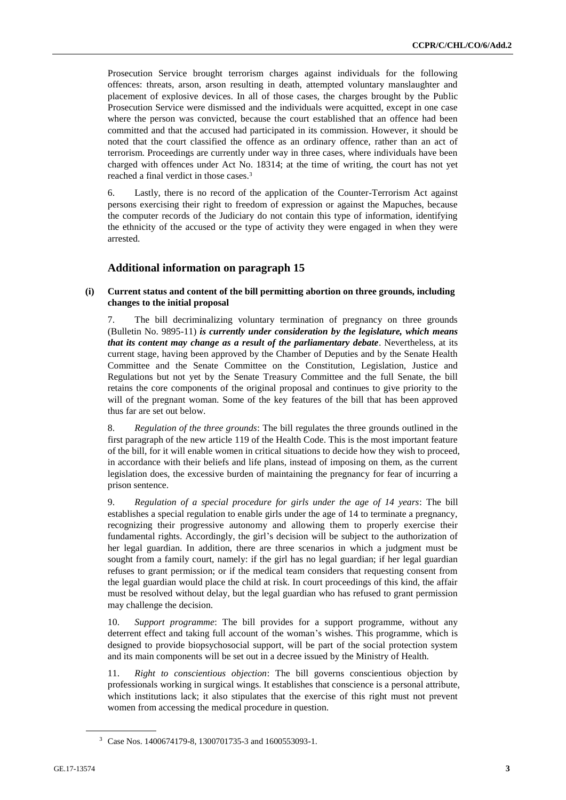Prosecution Service brought terrorism charges against individuals for the following offences: threats, arson, arson resulting in death, attempted voluntary manslaughter and placement of explosive devices. In all of those cases, the charges brought by the Public Prosecution Service were dismissed and the individuals were acquitted, except in one case where the person was convicted, because the court established that an offence had been committed and that the accused had participated in its commission. However, it should be noted that the court classified the offence as an ordinary offence, rather than an act of terrorism. Proceedings are currently under way in three cases, where individuals have been charged with offences under Act No. 18314; at the time of writing, the court has not yet reached a final verdict in those cases.<sup>3</sup>

6. Lastly, there is no record of the application of the Counter-Terrorism Act against persons exercising their right to freedom of expression or against the Mapuches, because the computer records of the Judiciary do not contain this type of information, identifying the ethnicity of the accused or the type of activity they were engaged in when they were arrested.

### **Additional information on paragraph 15**

#### **(i) Current status and content of the bill permitting abortion on three grounds, including changes to the initial proposal**

7. The bill decriminalizing voluntary termination of pregnancy on three grounds (Bulletin No. 9895-11) *is currently under consideration by the legislature, which means that its content may change as a result of the parliamentary debate.* Nevertheless, at its current stage, having been approved by the Chamber of Deputies and by the Senate Health Committee and the Senate Committee on the Constitution, Legislation, Justice and Regulations but not yet by the Senate Treasury Committee and the full Senate, the bill retains the core components of the original proposal and continues to give priority to the will of the pregnant woman. Some of the key features of the bill that has been approved thus far are set out below.

8. *Regulation of the three grounds*: The bill regulates the three grounds outlined in the first paragraph of the new article 119 of the Health Code. This is the most important feature of the bill, for it will enable women in critical situations to decide how they wish to proceed, in accordance with their beliefs and life plans, instead of imposing on them, as the current legislation does, the excessive burden of maintaining the pregnancy for fear of incurring a prison sentence.

9. *Regulation of a special procedure for girls under the age of 14 years*: The bill establishes a special regulation to enable girls under the age of 14 to terminate a pregnancy, recognizing their progressive autonomy and allowing them to properly exercise their fundamental rights. Accordingly, the girl's decision will be subject to the authorization of her legal guardian. In addition, there are three scenarios in which a judgment must be sought from a family court, namely: if the girl has no legal guardian; if her legal guardian refuses to grant permission; or if the medical team considers that requesting consent from the legal guardian would place the child at risk. In court proceedings of this kind, the affair must be resolved without delay, but the legal guardian who has refused to grant permission may challenge the decision.

10. *Support programme*: The bill provides for a support programme, without any deterrent effect and taking full account of the woman's wishes. This programme, which is designed to provide biopsychosocial support, will be part of the social protection system and its main components will be set out in a decree issued by the Ministry of Health.

11. *Right to conscientious objection*: The bill governs conscientious objection by professionals working in surgical wings. It establishes that conscience is a personal attribute, which institutions lack; it also stipulates that the exercise of this right must not prevent women from accessing the medical procedure in question.

<sup>3</sup> Case Nos. 1400674179-8, 1300701735-3 and 1600553093-1.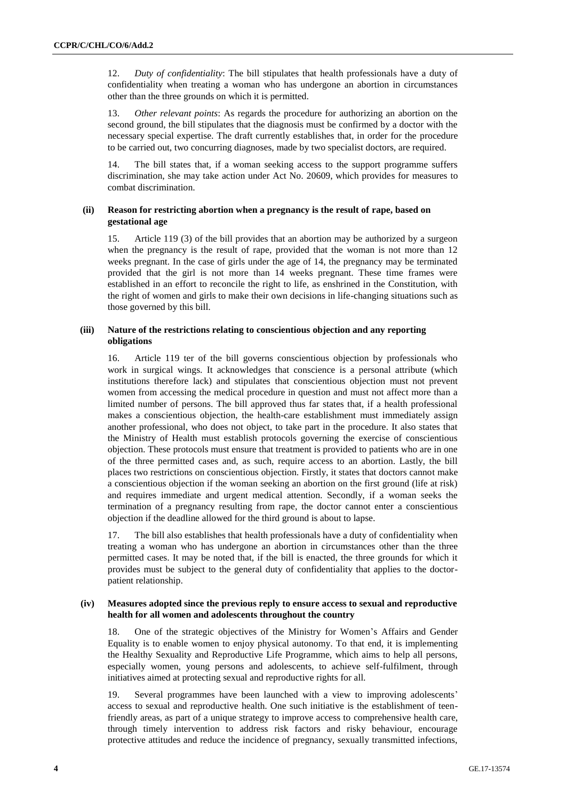12. *Duty of confidentiality*: The bill stipulates that health professionals have a duty of confidentiality when treating a woman who has undergone an abortion in circumstances other than the three grounds on which it is permitted.

13. *Other relevant points*: As regards the procedure for authorizing an abortion on the second ground, the bill stipulates that the diagnosis must be confirmed by a doctor with the necessary special expertise. The draft currently establishes that, in order for the procedure to be carried out, two concurring diagnoses, made by two specialist doctors, are required.

14. The bill states that, if a woman seeking access to the support programme suffers discrimination, she may take action under Act No. 20609, which provides for measures to combat discrimination.

#### **(ii) Reason for restricting abortion when a pregnancy is the result of rape, based on gestational age**

15. Article 119 (3) of the bill provides that an abortion may be authorized by a surgeon when the pregnancy is the result of rape, provided that the woman is not more than 12 weeks pregnant. In the case of girls under the age of 14, the pregnancy may be terminated provided that the girl is not more than 14 weeks pregnant. These time frames were established in an effort to reconcile the right to life, as enshrined in the Constitution, with the right of women and girls to make their own decisions in life-changing situations such as those governed by this bill.

#### **(iii) Nature of the restrictions relating to conscientious objection and any reporting obligations**

16. Article 119 ter of the bill governs conscientious objection by professionals who work in surgical wings. It acknowledges that conscience is a personal attribute (which institutions therefore lack) and stipulates that conscientious objection must not prevent women from accessing the medical procedure in question and must not affect more than a limited number of persons. The bill approved thus far states that, if a health professional makes a conscientious objection, the health-care establishment must immediately assign another professional, who does not object, to take part in the procedure. It also states that the Ministry of Health must establish protocols governing the exercise of conscientious objection. These protocols must ensure that treatment is provided to patients who are in one of the three permitted cases and, as such, require access to an abortion. Lastly, the bill places two restrictions on conscientious objection. Firstly, it states that doctors cannot make a conscientious objection if the woman seeking an abortion on the first ground (life at risk) and requires immediate and urgent medical attention. Secondly, if a woman seeks the termination of a pregnancy resulting from rape, the doctor cannot enter a conscientious objection if the deadline allowed for the third ground is about to lapse.

17. The bill also establishes that health professionals have a duty of confidentiality when treating a woman who has undergone an abortion in circumstances other than the three permitted cases. It may be noted that, if the bill is enacted, the three grounds for which it provides must be subject to the general duty of confidentiality that applies to the doctorpatient relationship.

#### **(iv) Measures adopted since the previous reply to ensure access to sexual and reproductive health for all women and adolescents throughout the country**

18. One of the strategic objectives of the Ministry for Women's Affairs and Gender Equality is to enable women to enjoy physical autonomy. To that end, it is implementing the Healthy Sexuality and Reproductive Life Programme, which aims to help all persons, especially women, young persons and adolescents, to achieve self-fulfilment, through initiatives aimed at protecting sexual and reproductive rights for all.

19. Several programmes have been launched with a view to improving adolescents' access to sexual and reproductive health. One such initiative is the establishment of teenfriendly areas, as part of a unique strategy to improve access to comprehensive health care, through timely intervention to address risk factors and risky behaviour, encourage protective attitudes and reduce the incidence of pregnancy, sexually transmitted infections,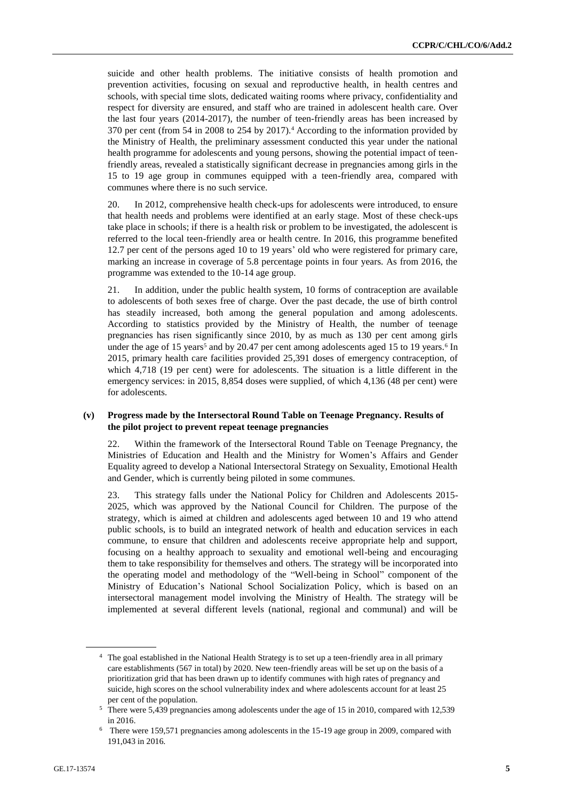suicide and other health problems. The initiative consists of health promotion and prevention activities, focusing on sexual and reproductive health, in health centres and schools, with special time slots, dedicated waiting rooms where privacy, confidentiality and respect for diversity are ensured, and staff who are trained in adolescent health care. Over the last four years (2014-2017), the number of teen-friendly areas has been increased by 370 per cent (from 54 in 2008 to 254 by 2017).<sup>4</sup> According to the information provided by the Ministry of Health, the preliminary assessment conducted this year under the national health programme for adolescents and young persons, showing the potential impact of teenfriendly areas, revealed a statistically significant decrease in pregnancies among girls in the 15 to 19 age group in communes equipped with a teen-friendly area, compared with communes where there is no such service.

20. In 2012, comprehensive health check-ups for adolescents were introduced, to ensure that health needs and problems were identified at an early stage. Most of these check-ups take place in schools; if there is a health risk or problem to be investigated, the adolescent is referred to the local teen-friendly area or health centre. In 2016, this programme benefited 12.7 per cent of the persons aged 10 to 19 years' old who were registered for primary care, marking an increase in coverage of 5.8 percentage points in four years. As from 2016, the programme was extended to the 10-14 age group.

21. In addition, under the public health system, 10 forms of contraception are available to adolescents of both sexes free of charge. Over the past decade, the use of birth control has steadily increased, both among the general population and among adolescents. According to statistics provided by the Ministry of Health, the number of teenage pregnancies has risen significantly since 2010, by as much as 130 per cent among girls under the age of 15 years<sup>5</sup> and by 20.47 per cent among adolescents aged 15 to 19 years.<sup>6</sup> In 2015, primary health care facilities provided 25,391 doses of emergency contraception, of which 4,718 (19 per cent) were for adolescents. The situation is a little different in the emergency services: in 2015, 8,854 doses were supplied, of which 4,136 (48 per cent) were for adolescents.

#### **(v) Progress made by the Intersectoral Round Table on Teenage Pregnancy. Results of the pilot project to prevent repeat teenage pregnancies**

22. Within the framework of the Intersectoral Round Table on Teenage Pregnancy, the Ministries of Education and Health and the Ministry for Women's Affairs and Gender Equality agreed to develop a National Intersectoral Strategy on Sexuality, Emotional Health and Gender, which is currently being piloted in some communes.

23. This strategy falls under the National Policy for Children and Adolescents 2015- 2025, which was approved by the National Council for Children. The purpose of the strategy, which is aimed at children and adolescents aged between 10 and 19 who attend public schools, is to build an integrated network of health and education services in each commune, to ensure that children and adolescents receive appropriate help and support, focusing on a healthy approach to sexuality and emotional well-being and encouraging them to take responsibility for themselves and others. The strategy will be incorporated into the operating model and methodology of the "Well-being in School" component of the Ministry of Education's National School Socialization Policy, which is based on an intersectoral management model involving the Ministry of Health. The strategy will be implemented at several different levels (national, regional and communal) and will be

<sup>&</sup>lt;sup>4</sup> The goal established in the National Health Strategy is to set up a teen-friendly area in all primary care establishments (567 in total) by 2020. New teen-friendly areas will be set up on the basis of a prioritization grid that has been drawn up to identify communes with high rates of pregnancy and suicide, high scores on the school vulnerability index and where adolescents account for at least 25 per cent of the population.

<sup>&</sup>lt;sup>5</sup> There were 5,439 pregnancies among adolescents under the age of 15 in 2010, compared with 12,539 in 2016.

<sup>6</sup> There were 159,571 pregnancies among adolescents in the 15-19 age group in 2009, compared with 191,043 in 2016.